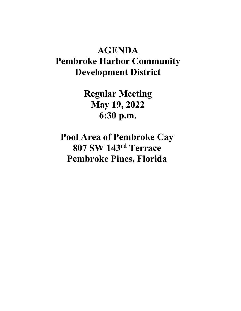## **AGENDA Pembroke Harbor Community Development District**

**Regular Meeting May 19, 2022 6:30 p.m.**

**Pool Area of Pembroke Cay 807 SW 143rd Terrace Pembroke Pines, Florida**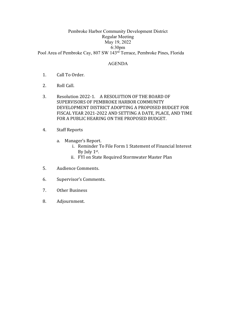## Pembroke Harbor Community Development District Regular Meeting May 19, 2022 6:30pm Pool Area of Pembroke Cay, 807 SW 143rd Terrace, Pembroke Pines, Florida

## AGENDA

- 1. Call To Order.
- 2. Roll Call.
- 3. Resolution 2022-1. A RESOLUTION OF THE BOARD OF SUPERVISORS OF PEMBROKE HARBOR COMMUNITY DEVELOPMENT DISTRICT ADOPTING A PROPOSED BUDGET FOR FISCAL YEAR 2021-2022 AND SETTING A DATE, PLACE, AND TIME FOR A PUBLIC HEARING ON THE PROPOSED BUDGET.
- 4. Staff Reports
	- a. Manager's Report.
		- i. Reminder To File Form 1 Statement of Financial Interest By July  $1<sup>st</sup>$ .
		- ii. FYI on State Required Stormwater Master Plan
- 5. Audience Comments.
- 6. Supervisor's Comments.
- 7. Other Business
- 8. Adjournment.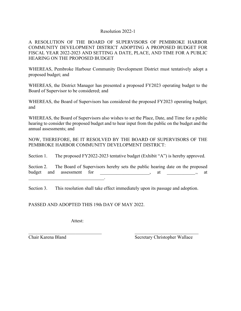## Resolution 2022-1

A RESOLUTION OF THE BOARD OF SUPERVISORS OF PEMBROKE HARBOR COMMUNITY DEVELOPMENT DISTRICT ADOPTING A PROPOSED BUDGET FOR FISCAL YEAR 2022-2023 AND SETTING A DATE, PLACE, AND TIME FOR A PUBLIC HEARING ON THE PROPOSED BUDGET

WHEREAS, Pembroke Harbour Community Development District must tentatively adopt a proposed budget; and

WHEREAS, the District Manager has presented a proposed FY2023 operating budget to the Board of Supervisor to be considered; and

WHEREAS, the Board of Supervisors has considered the proposed FY2023 operating budget; and

WHEREAS, the Board of Supervisors also wishes to set the Place, Date, and Time for a public hearing to consider the proposed budget and to hear input from the public on the budget and the annual assessments; and

NOW, THEREFORE, BE IT RESOLVED BY THE BOARD OF SUPERVISORS OF THE PEMBROKE HARBOR COMMUNITY DEVELOPMENT DISTRICT:

Section 1. The proposed FY2022-2023 tentative budget (Exhibit "A") is hereby approved.

Section 2. The Board of Supervisors hereby sets the public hearing date on the proposed budget and assessment for \_\_\_\_\_\_\_\_\_\_\_\_\_\_\_\_\_\_, at \_\_\_\_\_\_\_\_\_\_\_\_\_, at  $\mathcal{L}_\text{max}$  and  $\mathcal{L}_\text{max}$  and  $\mathcal{L}_\text{max}$  and  $\mathcal{L}_\text{max}$ 

Section 3. This resolution shall take effect immediately upon its passage and adoption.

PASSED AND ADOPTED THIS 19th DAY OF MAY 2022.

Attest:

Chair Karena Bland Secretary Christopher Wallace